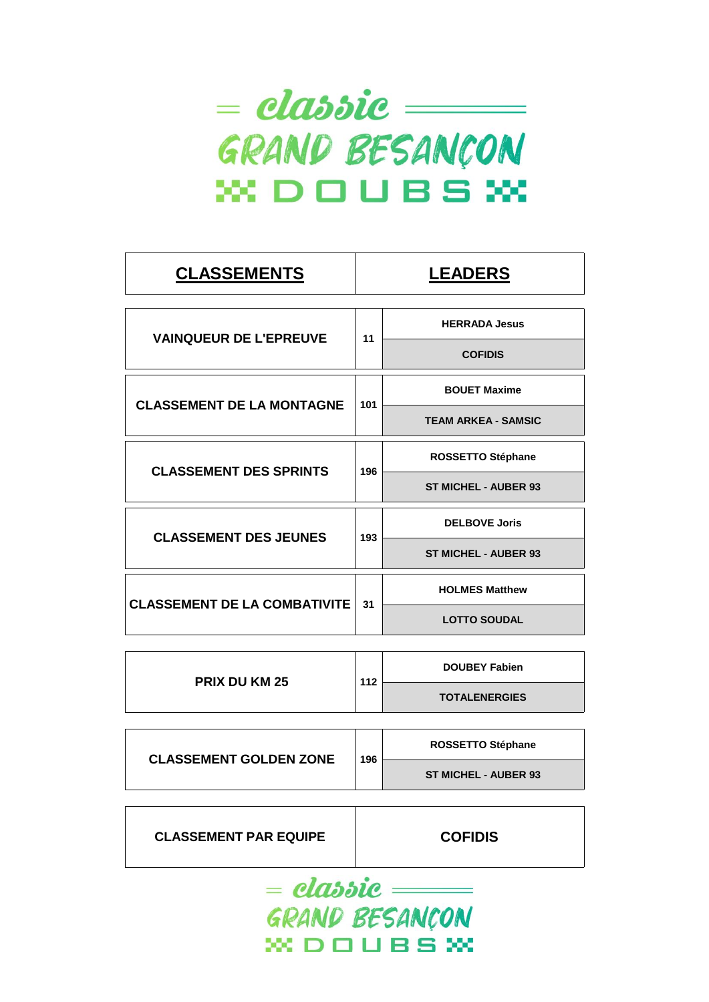

| <b>CLASSEMENTS</b>                  |                                                                                                                                                                                                                               | <b>LEADERS</b>       |
|-------------------------------------|-------------------------------------------------------------------------------------------------------------------------------------------------------------------------------------------------------------------------------|----------------------|
|                                     |                                                                                                                                                                                                                               |                      |
|                                     |                                                                                                                                                                                                                               | <b>HERRADA Jesus</b> |
|                                     |                                                                                                                                                                                                                               | <b>COFIDIS</b>       |
|                                     |                                                                                                                                                                                                                               | <b>BOUET Maxime</b>  |
| <b>CLASSEMENT DE LA MONTAGNE</b>    | 11<br>101<br><b>TEAM ARKEA - SAMSIC</b><br><b>ROSSETTO Stéphane</b><br>196<br><b>ST MICHEL - AUBER 93</b><br><b>DELBOVE Joris</b><br>193<br><b>ST MICHEL - AUBER 93</b><br><b>HOLMES Matthew</b><br>31<br><b>LOTTO SOUDAL</b> |                      |
| <b>CLASSEMENT DES SPRINTS</b>       |                                                                                                                                                                                                                               |                      |
|                                     |                                                                                                                                                                                                                               |                      |
| <b>CLASSEMENT DES JEUNES</b>        |                                                                                                                                                                                                                               |                      |
|                                     | <b>VAINQUEUR DE L'EPREUVE</b>                                                                                                                                                                                                 |                      |
| <b>CLASSEMENT DE LA COMBATIVITE</b> |                                                                                                                                                                                                                               |                      |
|                                     |                                                                                                                                                                                                                               |                      |

| <b>PRIX DU KM 25</b> | 112 | <b>DOUBEY Fabien</b> |
|----------------------|-----|----------------------|
|                      |     | <b>TOTALENERGIES</b> |
|                      |     |                      |

| <b>CLASSEMENT GOLDEN ZONE</b> | 196 | <b>ROSSETTO Stéphane</b>    |
|-------------------------------|-----|-----------------------------|
|                               |     | <b>ST MICHEL - AUBER 93</b> |

| <b>CLASSEMENT PAR EQUIPE</b> | <b>COFIDIS</b> |
|------------------------------|----------------|
|                              |                |

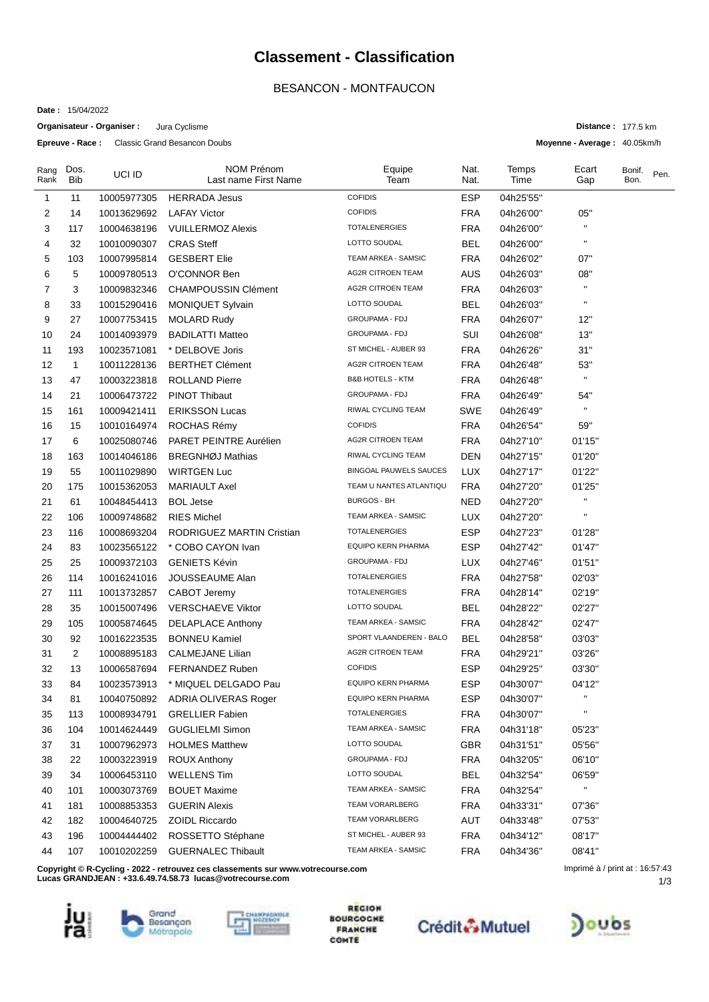### **Classement - Classification**

### BESANCON - MONTFAUCON

**Date :** 15/04/2022

**Organisateur - Organiser :** Jura Cyclisme

**Epreuve - Race :** Classic Grand Besancon Doubs

| Rang<br>Rank | Dos.<br><b>Bib</b> | UCI ID      | <b>NOM Prénom</b><br>Last name First Name                                        | Equipe<br>Team                | Nat.<br>Nat. | Temps<br>Time | Ecart<br>Gap                    | Bonif.<br>Bon. | Pen. |
|--------------|--------------------|-------------|----------------------------------------------------------------------------------|-------------------------------|--------------|---------------|---------------------------------|----------------|------|
| 1            | 11                 | 10005977305 | <b>HERRADA Jesus</b>                                                             | <b>COFIDIS</b>                | <b>ESP</b>   | 04h25'55"     |                                 |                |      |
| 2            | 14                 | 10013629692 | <b>LAFAY Victor</b>                                                              | <b>COFIDIS</b>                | <b>FRA</b>   | 04h26'00"     | 05"                             |                |      |
| 3            | 117                | 10004638196 | <b>VUILLERMOZ Alexis</b>                                                         | <b>TOTALENERGIES</b>          | <b>FRA</b>   | 04h26'00"     |                                 |                |      |
| 4            | 32                 | 10010090307 | <b>CRAS Steff</b>                                                                | LOTTO SOUDAL                  | <b>BEL</b>   | 04h26'00"     | $\blacksquare$                  |                |      |
| 5            | 103                | 10007995814 | <b>GESBERT Elie</b>                                                              | TEAM ARKEA - SAMSIC           | <b>FRA</b>   | 04h26'02"     | 07"                             |                |      |
| 6            | 5                  | 10009780513 | O'CONNOR Ben                                                                     | <b>AG2R CITROEN TEAM</b>      | <b>AUS</b>   | 04h26'03"     | 08"                             |                |      |
| 7            | 3                  | 10009832346 | <b>CHAMPOUSSIN Clément</b>                                                       | <b>AG2R CITROEN TEAM</b>      | <b>FRA</b>   | 04h26'03"     | $\blacksquare$                  |                |      |
| 8            | 33                 | 10015290416 | <b>MONIQUET Sylvain</b>                                                          | LOTTO SOUDAL                  | <b>BEL</b>   | 04h26'03"     | $\blacksquare$                  |                |      |
| 9            | 27                 | 10007753415 | <b>MOLARD Rudy</b>                                                               | GROUPAMA - FDJ                | <b>FRA</b>   | 04h26'07"     | 12"                             |                |      |
| 10           | 24                 | 10014093979 | <b>BADILATTI Matteo</b>                                                          | GROUPAMA - FDJ                | SUI          | 04h26'08"     | 13"                             |                |      |
| 11           | 193                | 10023571081 | * DELBOVE Joris                                                                  | ST MICHEL - AUBER 93          | <b>FRA</b>   | 04h26'26"     | 31"                             |                |      |
| 12           | $\mathbf{1}$       | 10011228136 | <b>BERTHET Clément</b>                                                           | <b>AG2R CITROEN TEAM</b>      | <b>FRA</b>   | 04h26'48"     | 53"                             |                |      |
| 13           | 47                 | 10003223818 | <b>ROLLAND Pierre</b>                                                            | <b>B&amp;B HOTELS - KTM</b>   | <b>FRA</b>   | 04h26'48"     | $\pmb{\mathsf{H}}$              |                |      |
| 14           | 21                 | 10006473722 | <b>PINOT Thibaut</b>                                                             | <b>GROUPAMA - FDJ</b>         | <b>FRA</b>   | 04h26'49"     | 54"                             |                |      |
| 15           | 161                | 10009421411 | <b>ERIKSSON Lucas</b>                                                            | RIWAL CYCLING TEAM            | SWE          | 04h26'49"     | $\mathbf{H}$                    |                |      |
| 16           | 15                 | 10010164974 | ROCHAS Rémy                                                                      | <b>COFIDIS</b>                | <b>FRA</b>   | 04h26'54"     | 59"                             |                |      |
| 17           | 6                  | 10025080746 | PARET PEINTRE Aurélien                                                           | <b>AG2R CITROEN TEAM</b>      | <b>FRA</b>   | 04h27'10"     | 01'15"                          |                |      |
| 18           | 163                | 10014046186 | <b>BREGNHØJ Mathias</b>                                                          | RIWAL CYCLING TEAM            | <b>DEN</b>   | 04h27'15"     | 01'20"                          |                |      |
| 19           | 55                 | 10011029890 | <b>WIRTGEN Luc</b>                                                               | <b>BINGOAL PAUWELS SAUCES</b> | LUX          | 04h27'17"     | 01'22"                          |                |      |
| 20           | 175                | 10015362053 | <b>MARIAULT Axel</b>                                                             | TEAM U NANTES ATLANTIQU       | <b>FRA</b>   | 04h27'20"     | 01'25"                          |                |      |
| 21           | 61                 | 10048454413 | <b>BOL Jetse</b>                                                                 | <b>BURGOS - BH</b>            | <b>NED</b>   | 04h27'20"     | $\mathbf{H}$                    |                |      |
| 22           | 106                | 10009748682 | <b>RIES Michel</b>                                                               | TEAM ARKEA - SAMSIC           | <b>LUX</b>   | 04h27'20"     | $\mathbf{H}$                    |                |      |
| 23           | 116                | 10008693204 | <b>RODRIGUEZ MARTIN Cristian</b>                                                 | <b>TOTALENERGIES</b>          | <b>ESP</b>   | 04h27'23"     | 01'28"                          |                |      |
| 24           | 83                 | 10023565122 | * COBO CAYON Ivan                                                                | EQUIPO KERN PHARMA            | <b>ESP</b>   | 04h27'42"     | 01'47"                          |                |      |
| 25           | 25                 | 10009372103 | <b>GENIETS Kévin</b>                                                             | GROUPAMA - FDJ                | LUX          | 04h27'46"     | 01'51"                          |                |      |
| 26           | 114                | 10016241016 | JOUSSEAUME Alan                                                                  | <b>TOTALENERGIES</b>          | <b>FRA</b>   | 04h27'58"     | 02'03"                          |                |      |
| 27           | 111                | 10013732857 | CABOT Jeremy                                                                     | <b>TOTALENERGIES</b>          | <b>FRA</b>   | 04h28'14"     | 02'19"                          |                |      |
| 28           | 35                 | 10015007496 | <b>VERSCHAEVE Viktor</b>                                                         | LOTTO SOUDAL                  | BEL          | 04h28'22"     | 02'27"                          |                |      |
| 29           | 105                | 10005874645 | <b>DELAPLACE Anthony</b>                                                         | TEAM ARKEA - SAMSIC           | <b>FRA</b>   | 04h28'42"     | 02'47"                          |                |      |
| 30           | 92                 | 10016223535 | <b>BONNEU Kamiel</b>                                                             | SPORT VLAANDEREN - BALO       | <b>BEL</b>   | 04h28'58"     | 03'03"                          |                |      |
| 31           | $\overline{2}$     | 10008895183 | <b>CALMEJANE Lilian</b>                                                          | <b>AG2R CITROEN TEAM</b>      | <b>FRA</b>   | 04h29'21"     | 03'26"                          |                |      |
| 32           | 13                 | 10006587694 | FERNANDEZ Ruben                                                                  | <b>COFIDIS</b>                | <b>ESP</b>   | 04h29'25"     | 03'30"                          |                |      |
| 33           | 84                 | 10023573913 | * MIQUEL DELGADO Pau                                                             | <b>EQUIPO KERN PHARMA</b>     | <b>ESP</b>   | 04h30'07"     | 04'12"                          |                |      |
| 34           | 81                 | 10040750892 | ADRIA OLIVERAS Roger                                                             | <b>EQUIPO KERN PHARMA</b>     | ESP          | 04h30'07"     |                                 |                |      |
| 35           | 113                | 10008934791 | <b>GRELLIER Fabien</b>                                                           | <b>TOTALENERGIES</b>          | <b>FRA</b>   | 04h30'07"     | п                               |                |      |
| 36           | 104                | 10014624449 | <b>GUGLIELMI Simon</b>                                                           | TEAM ARKEA - SAMSIC           | <b>FRA</b>   | 04h31'18"     | 05'23"                          |                |      |
| 37           | 31                 | 10007962973 | <b>HOLMES Matthew</b>                                                            | LOTTO SOUDAL                  | GBR          | 04h31'51"     | 05'56"                          |                |      |
| 38           | 22                 | 10003223919 | <b>ROUX Anthony</b>                                                              | GROUPAMA - FDJ                | <b>FRA</b>   | 04h32'05"     | 06'10"                          |                |      |
| 39           | 34                 | 10006453110 | <b>WELLENS Tim</b>                                                               | LOTTO SOUDAL                  | <b>BEL</b>   | 04h32'54"     | 06'59"                          |                |      |
| 40           | 101                | 10003073769 | <b>BOUET Maxime</b>                                                              | TEAM ARKEA - SAMSIC           | <b>FRA</b>   | 04h32'54"     | $\mathbf{H}$                    |                |      |
| 41           | 181                | 10008853353 | <b>GUERIN Alexis</b>                                                             | <b>TEAM VORARLBERG</b>        | <b>FRA</b>   | 04h33'31"     | 07'36"                          |                |      |
| 42           | 182                | 10004640725 | <b>ZOIDL Riccardo</b>                                                            | <b>TEAM VORARLBERG</b>        | AUT          | 04h33'48"     | 07'53"                          |                |      |
| 43           | 196                | 10004444402 | ROSSETTO Stéphane                                                                | ST MICHEL - AUBER 93          | <b>FRA</b>   | 04h34'12"     | 08'17"                          |                |      |
| 44           | 107                | 10010202259 | <b>GUERNALEC Thibault</b>                                                        | TEAM ARKEA - SAMSIC           | <b>FRA</b>   | 04h34'36"     | 08'41"                          |                |      |
|              |                    |             | Copyright © R-Cycling - 2022 - retrouvez ces classements sur www.votrecourse.com |                               |              |               | Imprimé à / print at : 16:57:43 |                |      |

**Lucas GRANDJEAN : +33.6.49.74.58.73 lucas@votrecourse.com**









**REGION BOURGOGHE FRANCHE**<br>COMTE





1/3 Imprimé à / print at : 16:57:43

**Distance :** 177.5 km

**Moyenne - Average :** 40.05km/h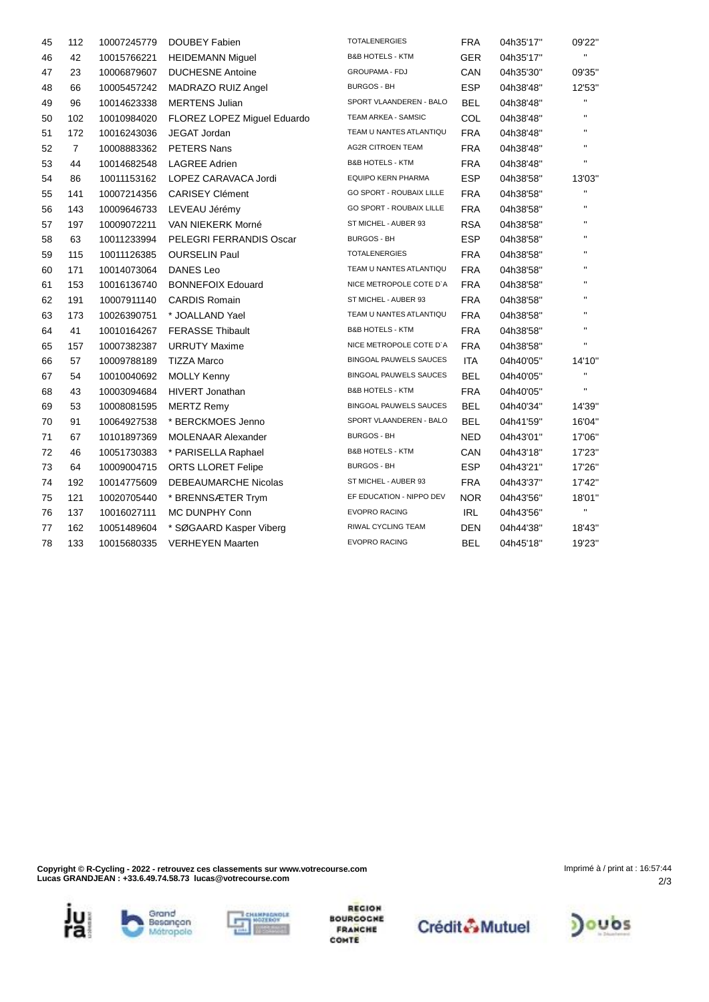| 45 | 112            | 10007245779 | DOUBEY Fabien               | <b>TOTALENERGIES</b>            | <b>FRA</b> | 04h35'17" | 09'22"         |
|----|----------------|-------------|-----------------------------|---------------------------------|------------|-----------|----------------|
| 46 | 42             | 10015766221 | <b>HEIDEMANN Miquel</b>     | <b>B&amp;B HOTELS - KTM</b>     | <b>GER</b> | 04h35'17" | $\mathbf{H}$   |
| 47 | 23             | 10006879607 | <b>DUCHESNE Antoine</b>     | <b>GROUPAMA - FDJ</b>           | CAN        | 04h35'30" | 09'35"         |
| 48 | 66             | 10005457242 | MADRAZO RUIZ Angel          | <b>BURGOS - BH</b>              | <b>ESP</b> | 04h38'48" | 12'53"         |
| 49 | 96             | 10014623338 | <b>MERTENS Julian</b>       | SPORT VLAANDEREN - BALO         | <b>BEL</b> | 04h38'48" | п.             |
| 50 | 102            | 10010984020 | FLOREZ LOPEZ Miguel Eduardo | TEAM ARKEA - SAMSIC             | COL        | 04h38'48" | $\mathbf{H}$   |
| 51 | 172            | 10016243036 | JEGAT Jordan                | TEAM U NANTES ATLANTIQU         | <b>FRA</b> | 04h38'48" | $\mathbf{H}$   |
| 52 | $\overline{7}$ | 10008883362 | PETERS Nans                 | <b>AG2R CITROEN TEAM</b>        | <b>FRA</b> | 04h38'48" | $\mathbf{H}$   |
| 53 | 44             | 10014682548 | <b>LAGREE Adrien</b>        | <b>B&amp;B HOTELS - KTM</b>     | <b>FRA</b> | 04h38'48" | П              |
| 54 | 86             | 10011153162 | LOPEZ CARAVACA Jordi        | <b>EQUIPO KERN PHARMA</b>       | <b>ESP</b> | 04h38'58" | 13'03"         |
| 55 | 141            | 10007214356 | <b>CARISEY Clément</b>      | GO SPORT - ROUBAIX LILLE        | <b>FRA</b> | 04h38'58" | $\mathbf{H}$   |
| 56 | 143            | 10009646733 | LEVEAU Jérémy               | <b>GO SPORT - ROUBAIX LILLE</b> | <b>FRA</b> | 04h38'58" | $\mathbf{H}$   |
| 57 | 197            | 10009072211 | VAN NIEKERK Morné           | ST MICHEL - AUBER 93            | <b>RSA</b> | 04h38'58" | п              |
| 58 | 63             | 10011233994 | PELEGRI FERRANDIS Oscar     | <b>BURGOS - BH</b>              | <b>ESP</b> | 04h38'58" | п              |
| 59 | 115            | 10011126385 | <b>OURSELIN Paul</b>        | <b>TOTALENERGIES</b>            | <b>FRA</b> | 04h38'58" | П              |
| 60 | 171            | 10014073064 | DANES Leo                   | TEAM U NANTES ATLANTIQU         | <b>FRA</b> | 04h38'58" | п              |
| 61 | 153            | 10016136740 | <b>BONNEFOIX Edouard</b>    | NICE METROPOLE COTE D'A         | <b>FRA</b> | 04h38'58" | П              |
| 62 | 191            | 10007911140 | <b>CARDIS Romain</b>        | ST MICHEL - AUBER 93            | <b>FRA</b> | 04h38'58" | п              |
| 63 | 173            | 10026390751 | * JOALLAND Yael             | TEAM U NANTES ATLANTIQU         | <b>FRA</b> | 04h38'58" | $\mathbf{H}$   |
| 64 | 41             | 10010164267 | <b>FERASSE Thibault</b>     | <b>B&amp;B HOTELS - KTM</b>     | <b>FRA</b> | 04h38'58" | $\mathbf{H}$   |
| 65 | 157            | 10007382387 | <b>URRUTY Maxime</b>        | NICE METROPOLE COTE D'A         | <b>FRA</b> | 04h38'58" |                |
| 66 | 57             | 10009788189 | <b>TIZZA Marco</b>          | <b>BINGOAL PAUWELS SAUCES</b>   | <b>ITA</b> | 04h40'05" | 14'10"         |
| 67 | 54             | 10010040692 | <b>MOLLY Kenny</b>          | <b>BINGOAL PAUWELS SAUCES</b>   | <b>BEL</b> | 04h40'05" | $\blacksquare$ |
| 68 | 43             | 10003094684 | <b>HIVERT Jonathan</b>      | <b>B&amp;B HOTELS - KTM</b>     | <b>FRA</b> | 04h40'05" | п              |
| 69 | 53             | 10008081595 | <b>MERTZ Remy</b>           | <b>BINGOAL PAUWELS SAUCES</b>   | <b>BEL</b> | 04h40'34" | 14'39"         |
| 70 | 91             | 10064927538 | * BERCKMOES Jenno           | SPORT VLAANDEREN - BALO         | <b>BEL</b> | 04h41'59" | 16'04"         |
| 71 | 67             | 10101897369 | <b>MOLENAAR Alexander</b>   | <b>BURGOS - BH</b>              | <b>NED</b> | 04h43'01" | 17'06"         |
| 72 | 46             | 10051730383 | * PARISELLA Raphael         | <b>B&amp;B HOTELS - KTM</b>     | CAN        | 04h43'18" | 17'23"         |
| 73 | 64             | 10009004715 | <b>ORTS LLORET Felipe</b>   | <b>BURGOS - BH</b>              | <b>ESP</b> | 04h43'21" | 17'26"         |
| 74 | 192            | 10014775609 | DEBEAUMARCHE Nicolas        | ST MICHEL - AUBER 93            | <b>FRA</b> | 04h43'37" | 17'42"         |
| 75 | 121            | 10020705440 | * BRENNSÆTER Trym           | EF EDUCATION - NIPPO DEV        | <b>NOR</b> | 04h43'56" | 18'01"         |
| 76 | 137            | 10016027111 | MC DUNPHY Conn              | <b>EVOPRO RACING</b>            | <b>IRL</b> | 04h43'56" | $\mathbf{H}$   |
| 77 | 162            | 10051489604 | * SØGAARD Kasper Viberg     | RIWAL CYCLING TEAM              | <b>DEN</b> | 04h44'38" | 18'43"         |
| 78 | 133            | 10015680335 | <b>VERHEYEN Maarten</b>     | <b>EVOPRO RACING</b>            | <b>BEL</b> | 04h45'18" | 19'23"         |
|    |                |             |                             |                                 |            |           |                |

**Copyright © R-Cycling - 2022 - retrouvez ces classements sur www.votrecourse.com Lucas GRANDJEAN : +33.6.49.74.58.73 lucas@votrecourse.com**

ju<br>ra





**REGION BOURGOGHE FRANCHE**<br>COMTE



2/3 Imprimé à / print at : 16:57:44

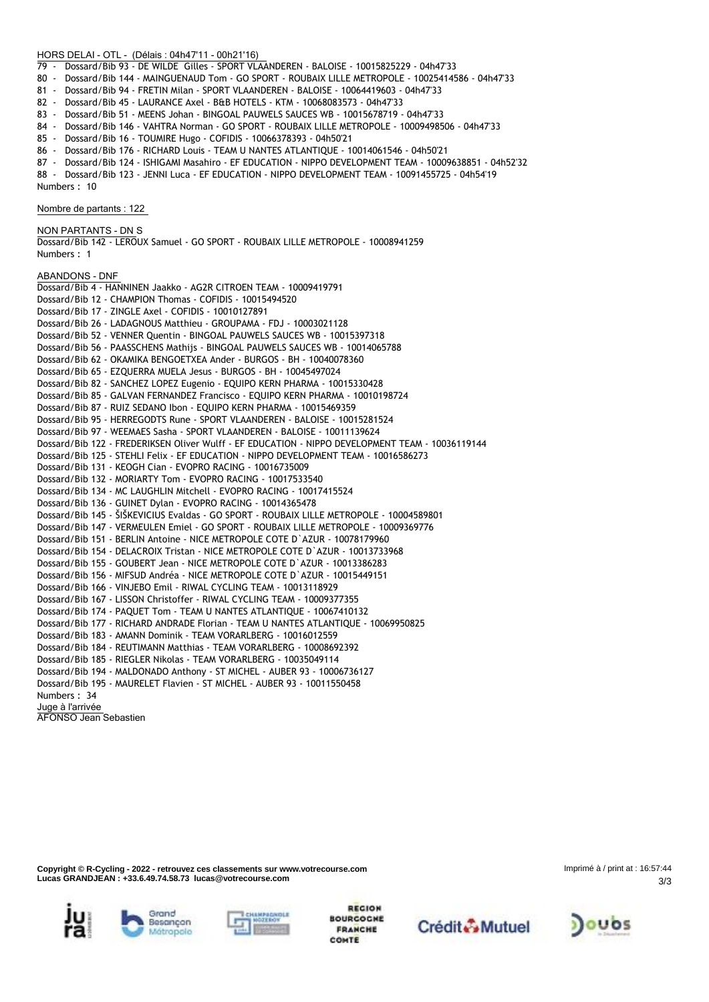#### **HORS DELAI - OTL - (Délais : 04h47'11 - 00h21'16)**

- 79 Dossard/Bib 93 DE WILDE Gilles SPORT VLAANDEREN BALOISE 10015825229 04h47'33
- 80 Dossard/Bib 144 MAINGUENAUD Tom GO SPORT ROUBAIX LILLE METROPOLE 10025414586 04h47'33
- 81 Dossard/Bib 94 FRETIN Milan SPORT VLAANDEREN BALOISE 10064419603 04h47'33
- 82 Dossard/Bib 45 LAURANCE Axel B&B HOTELS KTM 10068083573 04h47'33
- 83 Dossard/Bib 51 MEENS Johan BINGOAL PAUWELS SAUCES WB 10015678719 04h47'33
- 84 Dossard/Bib 146 VAHTRA Norman GO SPORT ROUBAIX LILLE METROPOLE 10009498506 04h47'33
- 85 Dossard/Bib 16 TOUMIRE Hugo COFIDIS 10066378393 04h50'21
- 86 Dossard/Bib 176 RICHARD Louis TEAM U NANTES ATLANTIQUE 10014061546 04h50'21
- 87 Dossard/Bib 124 ISHIGAMI Masahiro EF EDUCATION NIPPO DEVELOPMENT TEAM 10009638851 04h52'32
- 88 Dossard/Bib 123 JENNI Luca EF EDUCATION NIPPO DEVELOPMENT TEAM 10091455725 04h54'19

Numbers : 10

**Nombre de partants : 122**

**NON PARTANTS - DN** S

Dossard/Bib 142 - LEROUX Samuel - GO SPORT - ROUBAIX LILLE METROPOLE - 10008941259 Numbers : 1

**ABANDONS - DNF**

Dossard/Bib 4 - HANNINEN Jaakko - AG2R CITROEN TEAM - 10009419791 Dossard/Bib 12 - CHAMPION Thomas - COFIDIS - 10015494520 Dossard/Bib 17 - ZINGLE Axel - COFIDIS - 10010127891 Dossard/Bib 26 - LADAGNOUS Matthieu - GROUPAMA - FDJ - 10003021128 Dossard/Bib 52 - VENNER Quentin - BINGOAL PAUWELS SAUCES WB - 10015397318 Dossard/Bib 56 - PAASSCHENS Mathijs - BINGOAL PAUWELS SAUCES WB - 10014065788 Dossard/Bib 62 - OKAMIKA BENGOETXEA Ander - BURGOS - BH - 10040078360 Dossard/Bib 65 - EZQUERRA MUELA Jesus - BURGOS - BH - 10045497024 Dossard/Bib 82 - SANCHEZ LOPEZ Eugenio - EQUIPO KERN PHARMA - 10015330428 Dossard/Bib 85 - GALVAN FERNANDEZ Francisco - EQUIPO KERN PHARMA - 10010198724 Dossard/Bib 87 - RUIZ SEDANO Ibon - EQUIPO KERN PHARMA - 10015469359 Dossard/Bib 95 - HERREGODTS Rune - SPORT VLAANDEREN - BALOISE - 10015281524 Dossard/Bib 97 - WEEMAES Sasha - SPORT VLAANDEREN - BALOISE - 10011139624 Dossard/Bib 122 - FREDERIKSEN Oliver Wulff - EF EDUCATION - NIPPO DEVELOPMENT TEAM - 10036119144 Dossard/Bib 125 - STEHLI Felix - EF EDUCATION - NIPPO DEVELOPMENT TEAM - 10016586273 Dossard/Bib 131 - KEOGH Cian - EVOPRO RACING - 10016735009 Dossard/Bib 132 - MORIARTY Tom - EVOPRO RACING - 10017533540 Dossard/Bib 134 - MC LAUGHLIN Mitchell - EVOPRO RACING - 10017415524 Dossard/Bib 136 - GUINET Dylan - EVOPRO RACING - 10014365478 Dossard/Bib 145 - ŠIŠKEVICIUS Evaldas - GO SPORT - ROUBAIX LILLE METROPOLE - 10004589801 Dossard/Bib 147 - VERMEULEN Emiel - GO SPORT - ROUBAIX LILLE METROPOLE - 10009369776 Dossard/Bib 151 - BERLIN Antoine - NICE METROPOLE COTE D`AZUR - 10078179960 Dossard/Bib 154 - DELACROIX Tristan - NICE METROPOLE COTE D`AZUR - 10013733968 Dossard/Bib 155 - GOUBERT Jean - NICE METROPOLE COTE D`AZUR - 10013386283 Dossard/Bib 156 - MIFSUD Andréa - NICE METROPOLE COTE D`AZUR - 10015449151 Dossard/Bib 166 - VINJEBO Emil - RIWAL CYCLING TEAM - 10013118929 Dossard/Bib 167 - LISSON Christoffer - RIWAL CYCLING TEAM - 10009377355 Dossard/Bib 174 - PAQUET Tom - TEAM U NANTES ATLANTIQUE - 10067410132 Dossard/Bib 177 - RICHARD ANDRADE Florian - TEAM U NANTES ATLANTIQUE - 10069950825 Dossard/Bib 183 - AMANN Dominik - TEAM VORARLBERG - 10016012559 Dossard/Bib 184 - REUTIMANN Matthias - TEAM VORARLBERG - 10008692392 Dossard/Bib 185 - RIEGLER Nikolas - TEAM VORARLBERG - 10035049114 Dossard/Bib 194 - MALDONADO Anthony - ST MICHEL - AUBER 93 - 10006736127 Dossard/Bib 195 - MAURELET Flavien - ST MICHEL - AUBER 93 - 10011550458 Numbers : 34 **Juge à l'arrivée** AFONSO Jean Sebastien

**Copyright © R-Cycling - 2022 - retrouvez ces classements sur www.votrecourse.com Lucas GRANDJEAN : +33.6.49.74.58.73 lucas@votrecourse.com**

3/3 Imprimé à / print at : 16:57:44











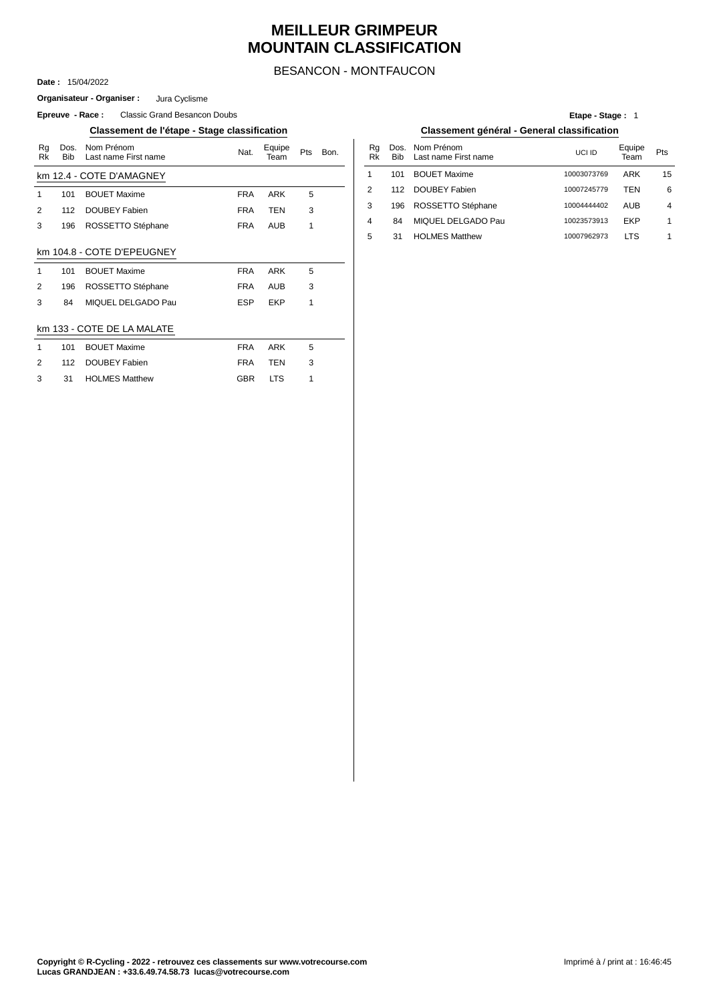### **MEILLEUR GRIMPEUR MOUNTAIN CLASSIFICATION**

BESANCON - MONTFAUCON

15/04/2022 **Date :**

**Epreuve - Race:** Classic Grand Besancon Doubs **Organisateur - Organiser :** Jura Cyclisme

|              |                    | accommont as retape etage cracemication |            |                |     |      |   |          |                   |
|--------------|--------------------|-----------------------------------------|------------|----------------|-----|------|---|----------|-------------------|
| Rg<br>Rk     | Dos.<br><b>Bib</b> | Nom Prénom<br>Last name First name      | Nat.       | Equipe<br>Team | Pts | Bon. |   | Rg<br>Rk | Dos<br><b>Bib</b> |
|              |                    | km 12.4 - COTE D'AMAGNEY                |            |                |     |      | 1 |          | 101               |
| 1            | 101                | <b>BOUET Maxime</b>                     | <b>FRA</b> | <b>ARK</b>     | 5   |      | 2 |          | 112               |
| 2            | 112                | DOUBEY Fabien                           | <b>FRA</b> | <b>TEN</b>     | 3   |      | 3 |          | 196               |
| 3            | 196                | ROSSETTO Stéphane                       | <b>FRA</b> | <b>AUB</b>     | 1   |      | 4 |          | 84                |
|              |                    |                                         |            |                |     |      | 5 |          | 31                |
|              |                    | km 104.8 - COTE D'EPEUGNEY              |            |                |     |      |   |          |                   |
| $\mathbf{1}$ | 101                | <b>BOUET Maxime</b>                     | <b>FRA</b> | <b>ARK</b>     | 5   |      |   |          |                   |
| 2            | 196                | ROSSETTO Stéphane                       | <b>FRA</b> | AUB            | 3   |      |   |          |                   |
| 3            | 84                 | MIQUEL DELGADO Pau                      | <b>ESP</b> | <b>EKP</b>     | 1   |      |   |          |                   |
|              |                    |                                         |            |                |     |      |   |          |                   |
|              |                    | km 133 - COTE DE LA MALATE              |            |                |     |      |   |          |                   |
| 1            | 101                | <b>BOUET Maxime</b>                     | <b>FRA</b> | <b>ARK</b>     | 5   |      |   |          |                   |
| 2            | 112                | DOUBEY Fabien                           | <b>FRA</b> | <b>TEN</b>     | 3   |      |   |          |                   |
| 3            | 31                 | <b>HOLMES Matthew</b>                   | <b>GBR</b> | <b>LTS</b>     | 1   |      |   |          |                   |

#### **Etape - Stage :** 1

**Classement de l'étape - Stage classification Classement général - General classification**

| Bon. | Ra<br>Rk | Bib | Dos. Nom Prénom<br>Last name First name | UCI ID      | Equipe<br>Team | <b>Pts</b> |
|------|----------|-----|-----------------------------------------|-------------|----------------|------------|
|      |          | 101 | <b>BOUET Maxime</b>                     | 10003073769 | ARK            | 15         |
|      | 2        | 112 | DOUBEY Fabien                           | 10007245779 | TFN            | 6          |
|      | 3        | 196 | ROSSETTO Stéphane                       | 10004444402 | AUB            | 4          |
|      | 4        | 84  | MIQUEL DELGADO Pau                      | 10023573913 | EKP            | 1          |
|      | 5        | 31  | <b>HOLMES Matthew</b>                   | 10007962973 | I T.S          | 1          |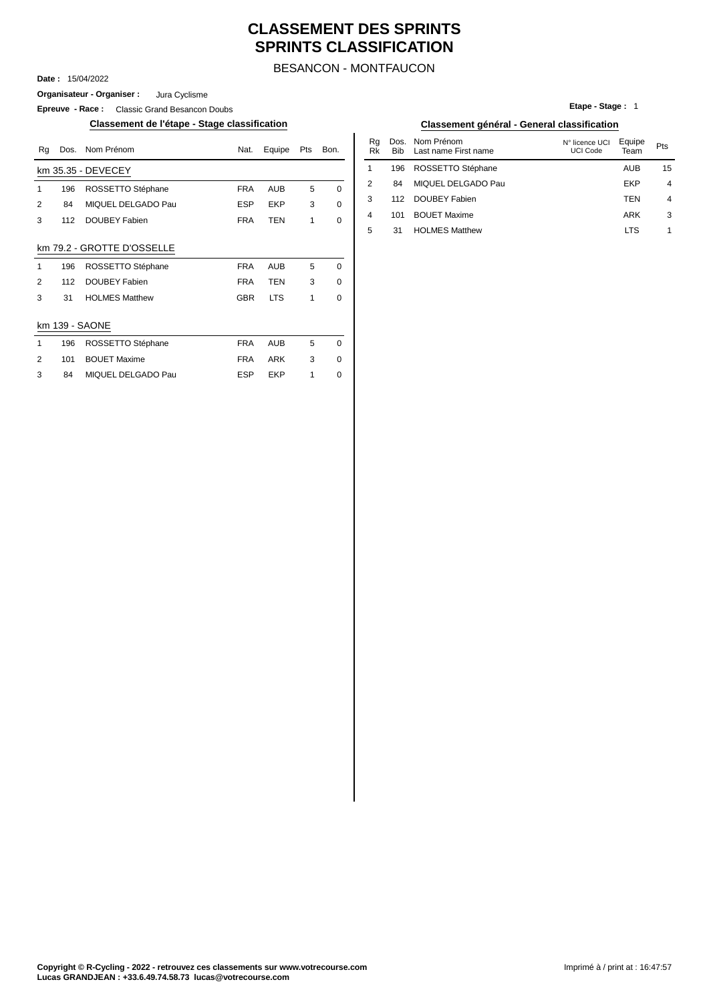## **CLASSEMENT DES SPRINTS SPRINTS CLASSIFICATION**

### BESANCON - MONTFAUCON

**Date :** 15/04/2022

**Organisateur - Organiser :** Jura Cyclisme

**Epreuve - Race :** Classic Grand Besancon Doubs

**Classement de l'étape - Stage classification Classement général - General classification**

| Rq | Dos. | Nom Prénom                 | Nat.       | Equipe     | Pts          | Bon.        | Rg<br>Rk | Dos.<br>Bib | Nom Prénom<br>Last name First name | N° licence UCI<br><b>UCI Code</b> | Equipe<br>Team | Pts                      |
|----|------|----------------------------|------------|------------|--------------|-------------|----------|-------------|------------------------------------|-----------------------------------|----------------|--------------------------|
|    |      | km 35.35 - DEVECEY         |            |            |              |             |          | 196         | ROSSETTO Stéphane                  |                                   | <b>AUB</b>     | 15                       |
| 1  | 196  | ROSSETTO Stéphane          | <b>FRA</b> | AUB        | 5            | 0           | 2        | 84          | MIQUEL DELGADO Pau                 |                                   | <b>EKP</b>     | $\overline{\phantom{a}}$ |
| 2  | 84   | MIQUEL DELGADO Pau         | <b>ESP</b> | <b>EKP</b> | 3            | 0           | 3        | 112         | DOUBEY Fabien                      |                                   | <b>TEN</b>     | $\overline{\phantom{a}}$ |
| 3  | 112  | <b>DOUBEY Fabien</b>       | <b>FRA</b> | <b>TEN</b> | $\mathbf{1}$ | $\mathbf 0$ | 4        | 101         | <b>BOUET Maxime</b>                |                                   | ARK            | G                        |
|    |      |                            |            |            |              |             | 5        | 31          | <b>HOLMES Matthew</b>              |                                   | <b>LTS</b>     | 1                        |
|    |      | km 79.2 - GROTTE D'OSSELLE |            |            |              |             |          |             |                                    |                                   |                |                          |
| 1  | 196  | ROSSETTO Stéphane          | <b>FRA</b> | AUB        | 5            | 0           |          |             |                                    |                                   |                |                          |
| 2  | 112  | <b>DOUBEY Fabien</b>       | <b>FRA</b> | <b>TEN</b> | 3            | 0           |          |             |                                    |                                   |                |                          |
| 3  | 31   | <b>HOLMES Matthew</b>      | <b>GBR</b> | <b>LTS</b> | 1            | $\mathbf 0$ |          |             |                                    |                                   |                |                          |
|    |      | km 139 - SAONE             |            |            |              |             |          |             |                                    |                                   |                |                          |
| 1  | 196  | ROSSETTO Stéphane          | <b>FRA</b> | AUB        | 5            | 0           |          |             |                                    |                                   |                |                          |
| 2  | 101  | <b>BOUET Maxime</b>        | <b>FRA</b> | <b>ARK</b> | 3            | 0           |          |             |                                    |                                   |                |                          |
| 3  | 84   | MIQUEL DELGADO Pau         | <b>ESP</b> | EKP        |              | 0           |          |             |                                    |                                   |                |                          |

| Etape - Stage: 1 |  |  |  |
|------------------|--|--|--|
|------------------|--|--|--|

| Classement général - General classification |  |
|---------------------------------------------|--|
|---------------------------------------------|--|

| Nom Prénom         | Nat.       | Equipe     | Pts | Bon. | Ra<br>Rk | Dos.<br><b>Bib</b> | Nom Prénom<br>Last name First name | N° licence UCI<br>UCI Code | Equipe<br>Team | Pts            |
|--------------------|------------|------------|-----|------|----------|--------------------|------------------------------------|----------------------------|----------------|----------------|
| DEVECEY            |            |            |     |      |          | 196                | ROSSETTO Stéphane                  |                            | <b>AUB</b>     | 15             |
| ROSSETTO Stéphane  | FRA        | <b>AUB</b> | 5   | 0    |          | 84                 | MIQUEL DELGADO Pau                 |                            | EKP            | $\overline{4}$ |
| MIQUEL DELGADO Pau | <b>ESP</b> | <b>EKP</b> | 3   | 0    | 3        | 112                | DOUBEY Fabien                      |                            | TEN            | $\overline{4}$ |
| DOUBEY Fabien      | <b>FRA</b> | TEN        |     | 0    | 4        | 101                | <b>BOUET Maxime</b>                |                            | ARK            | 3              |
|                    |            |            |     |      | 5        | 31                 | <b>HOLMES Matthew</b>              |                            | <b>LTS</b>     |                |
|                    |            |            |     |      |          |                    |                                    |                            |                |                |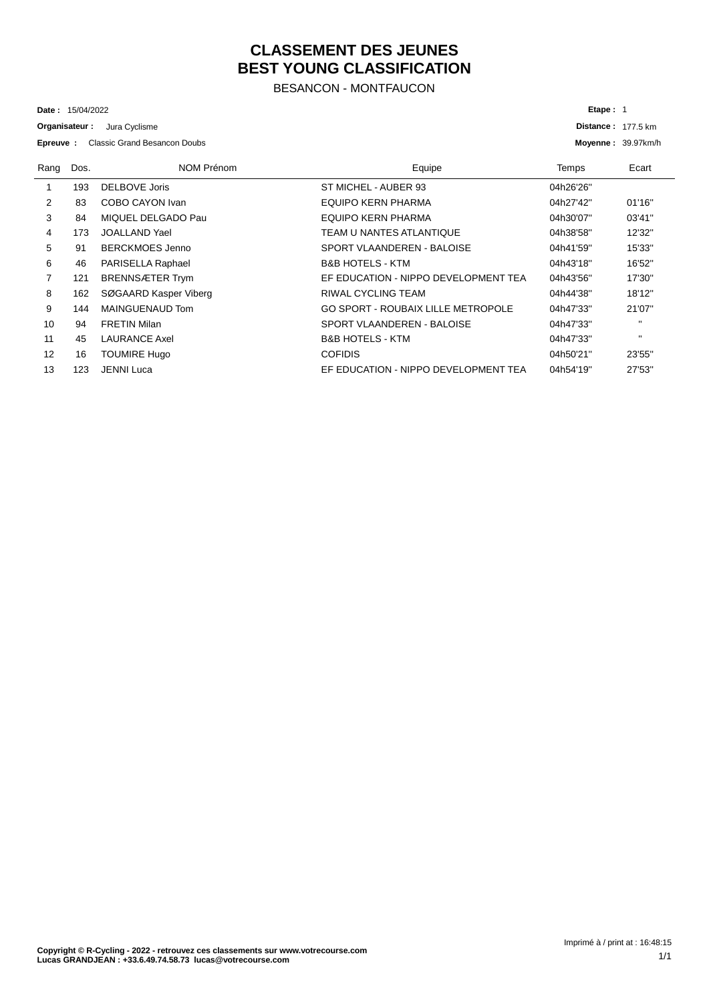## **CLASSEMENT DES JEUNES BEST YOUNG CLASSIFICATION**

BESANCON - MONTFAUCON

15/04/2022 **Date :**

**Organisateur :** Jura Cyclisme

Classic Grand Besancon Doubs **Epreuve :**

| <b>Classic Grand Besancon Doubs</b><br>Epreuve: |      |                        | Moyenne: 39.97km/h                        |              |              |
|-------------------------------------------------|------|------------------------|-------------------------------------------|--------------|--------------|
| Rang                                            | Dos. | NOM Prénom             | Equipe                                    | <b>Temps</b> | Ecart        |
|                                                 | 193  | DELBOVE Joris          | ST MICHEL - AUBER 93                      | 04h26'26"    |              |
| 2                                               | 83   | COBO CAYON Ivan        | EQUIPO KERN PHARMA                        | 04h27'42"    | 01'16"       |
| 3                                               | 84   | MIQUEL DELGADO Pau     | EQUIPO KERN PHARMA                        | 04h30'07"    | 03'41"       |
| 4                                               | 173  | JOALLAND Yael          | TEAM U NANTES ATLANTIQUE                  | 04h38'58"    | 12'32"       |
| 5                                               | 91   | <b>BERCKMOES Jenno</b> | SPORT VLAANDEREN - BALOISE                | 04h41'59"    | 15'33"       |
| 6                                               | 46   | PARISELLA Raphael      | <b>B&amp;B HOTELS - KTM</b>               | 04h43'18"    | 16'52"       |
| 7                                               | 121  | <b>BRENNSÆTER Trym</b> | EF EDUCATION - NIPPO DEVELOPMENT TEA      | 04h43'56"    | 17'30"       |
| 8                                               | 162  | SØGAARD Kasper Viberg  | RIWAL CYCLING TEAM                        | 04h44'38"    | 18'12"       |
| 9                                               | 144  | MAINGUENAUD Tom        | <b>GO SPORT - ROUBAIX LILLE METROPOLE</b> | 04h47'33"    | 21'07"       |
| 10                                              | 94   | <b>FRETIN Milan</b>    | SPORT VLAANDEREN - BALOISE                | 04h47'33"    | $\mathbf{H}$ |
| 11                                              | 45   | <b>LAURANCE Axel</b>   | <b>B&amp;B HOTELS - KTM</b>               | 04h47'33"    | $\mathbf{H}$ |
| 12                                              | 16   | <b>TOUMIRE Hugo</b>    | <b>COFIDIS</b>                            | 04h50'21"    | 23'55"       |
| 13                                              | 123  | <b>JENNI Luca</b>      | EF EDUCATION - NIPPO DEVELOPMENT TEA      | 04h54'19"    | 27'53"       |

**Distance : 177.5 km** 

**Etape :** 1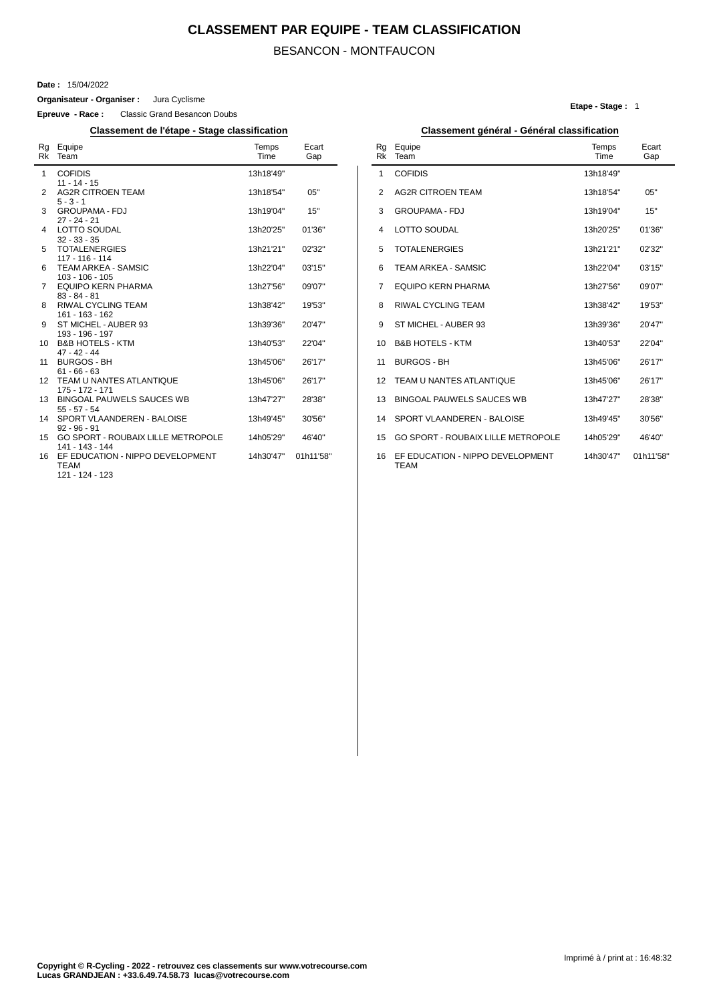### **CLASSEMENT PAR EQUIPE - TEAM CLASSIFICATION**

### BESANCON - MONTFAUCON

#### **Date :** 15/04/2022

**Organisateur - Organiser :** Jura Cyclisme

**Epreuve - Race :** Classic Grand Besancon Doubs

### **Classement de l'étape - Stage classification Classement général - Général classification**

|                 | Rg Equipe<br>Rk Team                                               | Temps<br>Time | Ecart<br>Gap |
|-----------------|--------------------------------------------------------------------|---------------|--------------|
| $\mathbf 1$     | <b>COFIDIS</b>                                                     | 13h18'49"     |              |
| $\overline{2}$  | $11 - 14 - 15$<br><b>AG2R CITROEN TEAM</b>                         | 13h18'54"     | 05"          |
| 3               | $5 - 3 - 1$<br><b>GROUPAMA - FDJ</b>                               | 13h19'04"     | 15"          |
| 4               | $27 - 24 - 21$<br><b>LOTTO SOUDAL</b>                              | 13h20'25"     | 01'36"       |
| 5               | $32 - 33 - 35$<br><b>TOTALENERGIES</b>                             | 13h21'21"     | 02'32"       |
| 6               | 117 - 116 - 114<br><b>TEAM ARKEA - SAMSIC</b>                      | 13h22'04"     | 03'15"       |
| $\overline{7}$  | $103 - 106 - 105$<br>EQUIPO KERN PHARMA                            | 13h27'56"     | 09'07"       |
| 8               | $83 - 84 - 81$<br>RIWAL CYCLING TEAM                               | 13h38'42"     | 19'53"       |
| 9               | 161 - 163 - 162<br>ST MICHEL - AUBER 93                            | 13h39'36"     | 20'47"       |
| 10              | 193 - 196 - 197<br><b>B&amp;B HOTELS - KTM</b>                     | 13h40'53"     | 22'04"       |
| 11              | $47 - 42 - 44$<br><b>BURGOS - BH</b>                               | 13h45'06"     | 26'17"       |
| 12              | $61 - 66 - 63$<br>TEAM U NANTES ATLANTIQUE                         | 13h45'06"     | 26'17"       |
|                 | 175 - 172 - 171                                                    |               |              |
| 13 <sup>7</sup> | BINGOAL PAUWELS SAUCES WB<br>$55 - 57 - 54$                        | 13h47'27"     | 28'38"       |
| 14              | SPORT VLAANDEREN - BALOISE<br>$92 - 96 - 91$                       | 13h49'45"     | 30'56"       |
| 15              | GO SPORT - ROUBAIX LILLE METROPOLE<br>141 - 143 - 144              | 14h05'29"     | 46'40"       |
| 16              | EF EDUCATION - NIPPO DEVELOPMENT<br><b>TEAM</b><br>121 - 124 - 123 | 14h30'47"     | 01h11'58"    |

#### **Etape - Stage :** 1

| Classement general - General classification |                                                 |               |              |  |  |  |  |
|---------------------------------------------|-------------------------------------------------|---------------|--------------|--|--|--|--|
| Rq<br><b>Rk</b>                             | Equipe<br>Team                                  | Temps<br>Time | Ecart<br>Gap |  |  |  |  |
| 1                                           | <b>COFIDIS</b>                                  | 13h18'49"     |              |  |  |  |  |
| 2                                           | <b>AG2R CITROEN TEAM</b>                        | 13h18'54"     | 05"          |  |  |  |  |
| 3                                           | <b>GROUPAMA - FDJ</b>                           | 13h19'04"     | 15"          |  |  |  |  |
| 4                                           | <b>LOTTO SOUDAL</b>                             | 13h20'25"     | 01'36"       |  |  |  |  |
| 5                                           | <b>TOTALENERGIES</b>                            | 13h21'21"     | 02'32"       |  |  |  |  |
| 6                                           | TFAM ARKFA - SAMSIC                             | 13h22'04"     | 03'15"       |  |  |  |  |
| 7                                           | EQUIPO KERN PHARMA                              | 13h27'56"     | 09'07"       |  |  |  |  |
| 8                                           | RIWAL CYCLING TEAM                              | 13h38'42"     | 19'53"       |  |  |  |  |
| 9                                           | ST MICHEL - AUBER 93                            | 13h39'36"     | 20'47"       |  |  |  |  |
| 10                                          | <b>B&amp;B HOTELS - KTM</b>                     | 13h40'53"     | 22'04"       |  |  |  |  |
| 11                                          | <b>BURGOS - BH</b>                              | 13h45'06"     | 26'17"       |  |  |  |  |
| 12                                          | TEAM U NANTES ATLANTIQUE                        | 13h45'06"     | 26'17"       |  |  |  |  |
| 13                                          | <b>BINGOAL PAUWELS SAUCES WB</b>                | 13h47'27"     | 28'38"       |  |  |  |  |
| 14                                          | SPORT VLAANDEREN - BALOISE                      | 13h49'45"     | 30'56"       |  |  |  |  |
| 15                                          | GO SPORT - ROUBAIX LILLE METROPOLE              | 14h05'29"     | 46'40"       |  |  |  |  |
| 16                                          | EF EDUCATION - NIPPO DEVELOPMENT<br><b>TFAM</b> | 14h30'47"     | 01h11'58"    |  |  |  |  |